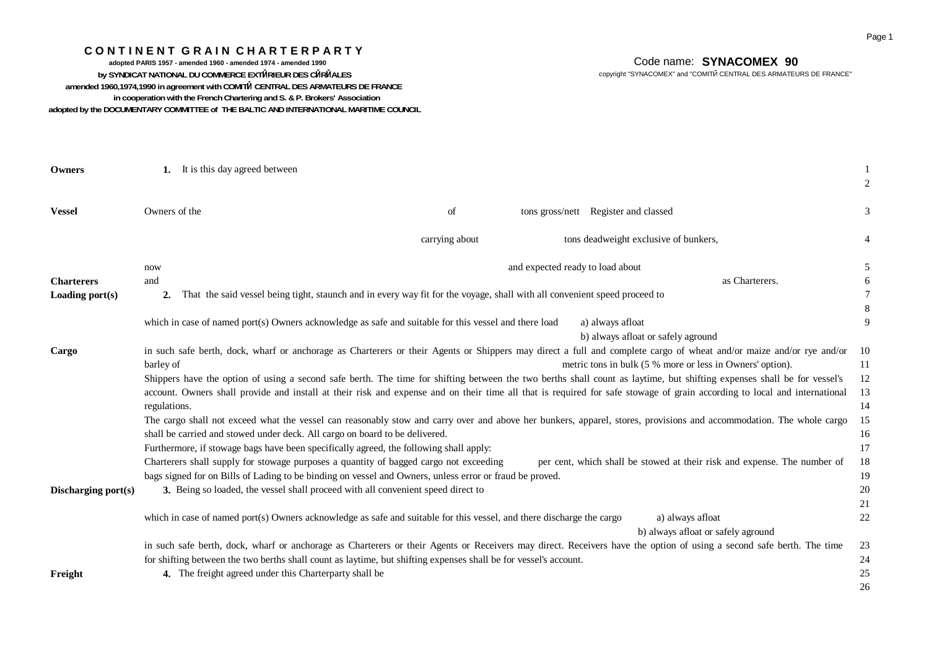## **C O N T I N E N T G R A I N C H A R T E R P A R T Y**

## **adopted PARIS 1957 - amended 1960 - amended 1974 - amended 1990 by SYNDICAT NATIONAL DU COMMERCE EXT**Й**RIEUR DES C**Й**R**Й**ALES amended 1960,1974,1990 in agreement with COMIT**Й **CENTRAL DES ARMATEURS DE FRANCE in cooperation with the French Chartering and S. & P. Brokers' Association adopted by the DOCUMENTARY COMMITTEE of THE BALTIC AND INTERNATIONAL MARITIME COUNCIL**

## Code name: **SYNACOMEX 90**

copyright "SYNACOMEX" and "COMITЙ CENTRAL DES ARMATEURS DE FRANCE"

| Owners              | It is this day agreed between                                                                                                                                             |                |                                  |                                                                                                                                                                      | $\overline{c}$ |
|---------------------|---------------------------------------------------------------------------------------------------------------------------------------------------------------------------|----------------|----------------------------------|----------------------------------------------------------------------------------------------------------------------------------------------------------------------|----------------|
| <b>Vessel</b>       | Owners of the                                                                                                                                                             | of             |                                  | tons gross/nett Register and classed                                                                                                                                 | 3              |
|                     |                                                                                                                                                                           | carrying about |                                  | tons deadweight exclusive of bunkers,                                                                                                                                | 4              |
|                     | now                                                                                                                                                                       |                | and expected ready to load about |                                                                                                                                                                      | 5              |
| <b>Charterers</b>   | and                                                                                                                                                                       |                |                                  | as Charterers.                                                                                                                                                       | 6              |
| Loading port(s)     | That the said vessel being tight, staunch and in every way fit for the voyage, shall with all convenient speed proceed to<br>2.                                           |                |                                  |                                                                                                                                                                      |                |
|                     |                                                                                                                                                                           |                |                                  |                                                                                                                                                                      | 8              |
|                     | which in case of named port(s) Owners acknowledge as safe and suitable for this vessel and there load                                                                     |                |                                  | a) always afloat                                                                                                                                                     | 9              |
|                     |                                                                                                                                                                           |                |                                  | b) always afloat or safely aground                                                                                                                                   |                |
| Cargo               |                                                                                                                                                                           |                |                                  | in such safe berth, dock, wharf or anchorage as Charterers or their Agents or Shippers may direct a full and complete cargo of wheat and/or maize and/or rye and/or  | -10            |
|                     | barley of                                                                                                                                                                 |                |                                  | metric tons in bulk (5 % more or less in Owners' option).                                                                                                            | 11             |
|                     | Shippers have the option of using a second safe berth. The time for shifting between the two berths shall count as laytime, but shifting expenses shall be for vessel's   |                |                                  |                                                                                                                                                                      |                |
|                     | account. Owners shall provide and install at their risk and expense and on their time all that is required for safe stowage of grain according to local and international |                |                                  |                                                                                                                                                                      |                |
|                     | regulations.                                                                                                                                                              |                |                                  |                                                                                                                                                                      | 14             |
|                     | The cargo shall not exceed what the vessel can reasonably stow and carry over and above her bunkers, apparel, stores, provisions and accommodation. The whole cargo       |                |                                  |                                                                                                                                                                      |                |
|                     | shall be carried and stowed under deck. All cargo on board to be delivered.                                                                                               |                |                                  |                                                                                                                                                                      |                |
|                     | Furthermore, if stowage bags have been specifically agreed, the following shall apply:                                                                                    |                |                                  |                                                                                                                                                                      | 17             |
|                     | Charterers shall supply for stowage purposes a quantity of bagged cargo not exceeding                                                                                     |                |                                  | per cent, which shall be stowed at their risk and expense. The number of                                                                                             | 18             |
|                     | bags signed for on Bills of Lading to be binding on vessel and Owners, unless error or fraud be proved.                                                                   |                |                                  |                                                                                                                                                                      | 19             |
| Discharging port(s) | 3. Being so loaded, the vessel shall proceed with all convenient speed direct to                                                                                          |                |                                  |                                                                                                                                                                      | 20             |
|                     |                                                                                                                                                                           |                |                                  |                                                                                                                                                                      | 21             |
|                     | which in case of named port(s) Owners acknowledge as safe and suitable for this vessel, and there discharge the cargo                                                     |                |                                  | a) always afloat                                                                                                                                                     | 22             |
|                     |                                                                                                                                                                           |                |                                  | b) always afloat or safely aground                                                                                                                                   |                |
|                     |                                                                                                                                                                           |                |                                  | in such safe berth, dock, wharf or anchorage as Charterers or their Agents or Receivers may direct. Receivers have the option of using a second safe berth. The time | 23             |
|                     | for shifting between the two berths shall count as laytime, but shifting expenses shall be for vessel's account.                                                          |                |                                  |                                                                                                                                                                      | 24             |
| Freight             | 4. The freight agreed under this Charterparty shall be                                                                                                                    |                |                                  |                                                                                                                                                                      | 25             |
|                     |                                                                                                                                                                           |                |                                  |                                                                                                                                                                      | 26             |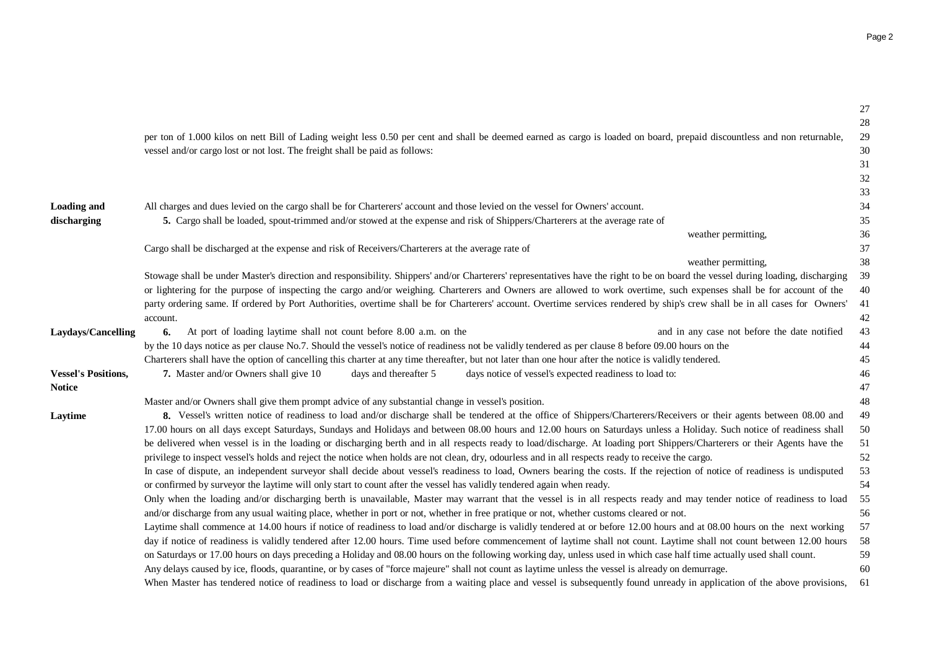2728per ton of 1.000 kilos on nett Bill of Lading weight less 0.50 per cent and shall be deemed earned as cargo is loaded on board, prepaid discountless and non returnable, 29 vessel and/or cargo lost or not lost. The freight shall be paid as follows: 30 313233**Loading and** All charges and dues levied on the cargo shall be for Charterers' account and those levied on the vessel for Owners' account. 34 **discharging** 5. Cargo shall be loaded, spout-trimmed and/or stowed at the expense and risk of Shippers/Charterers at the average rate of 35 weather permitting, 36 Cargo shall be discharged at the expense and risk of Receivers/Charterers at the average rate of 37 weather permitting, 38 Stowage shall be under Master's direction and responsibility. Shippers' and/or Charterers' representatives have the right to be on board the vessel during loading, discharging 39 or lightering for the purpose of inspecting the cargo and/or weighing. Charterers and Owners are allowed to work overtime, such expenses shall be for account of the 40 party ordering same. If ordered by Port Authorities, overtime shall be for Charterers' account. Overtime services rendered by ship's crew shall be in all cases for Owners' 41 account. 42**Laydays/Cancelling** 6. At port of loading laytime shall not count before 8.00 a.m. on the and in any case not before the date notified 43 by the 10 days notice as per clause No.7. Should the vessel's notice of readiness not be validly tendered as per clause 8 before 09.00 hours on the 44 Charterers shall have the option of cancelling this charter at any time thereafter, but not later than one hour after the notice is validly tendered. 45 **Vessel's Positions, 7.** Master and/or Owners shall give 10 days and thereafter 5 days notice of vessel's expected readiness to load to: 46 **Notice** $\rm e$  and  $\rm e$  and  $\rm e$  and  $\rm e$  and  $\rm e$  and  $\rm e$  and  $\rm e$  and  $\rm e$  and  $\rm e$  and  $\rm e$  and  $\rm e$  and  $\rm e$  and  $\rm e$  and  $\rm e$  and  $\rm e$  and  $\rm e$  and  $\rm e$  and  $\rm e$  and  $\rm e$  and  $\rm e$  and  $\rm e$  and  $\rm e$  and Master and/or Owners shall give them prompt advice of any substantial change in vessel's position. 48 **Laytime 8.** Vessel's written notice of readiness to load and/or discharge shall be tendered at the office of Shippers/Charterers/Receivers or their agents between 08.00 and 49 17.00 hours on all days except Saturdays, Sundays and Holidays and between 08.00 hours and 12.00 hours on Saturdays unless a Holiday. Such notice of readiness shall 50 be delivered when vessel is in the loading or discharging berth and in all respects ready to load/discharge. At loading port Shippers/Charterers or their Agents have the 51 privilege to inspect vessel's holds and reject the notice when holds are not clean, dry, odourless and in all respects ready to receive the cargo. 52 In case of dispute, an independent surveyor shall decide about vessel's readiness to load, Owners bearing the costs. If the rejection of notice of readiness is undisputed 53 or confirmed by surveyor the laytime will only start to count after the vessel has validly tendered again when ready. 54 Only when the loading and/or discharging berth is unavailable, Master may warrant that the vessel is in all respects ready and may tender notice of readiness to load 55 and/or discharge from any usual waiting place, whether in port or not, whether in free pratique or not, whether customs cleared or not. 56 Laytime shall commence at 14.00 hours if notice of readiness to load and/or discharge is validly tendered at or before 12.00 hours and at 08.00 hours on the next working 57 day if notice of readiness is validly tendered after 12.00 hours. Time used before commencement of laytime shall not count. Laytime shall not count between 12.00 hours 58 on Saturdays or 17.00 hours on days preceding a Holiday and 08.00 hours on the following working day, unless used in which case half time actually used shall count. 59 Any delays caused by ice, floods, quarantine, or by cases of "force majeure" shall not count as laytime unless the vessel is already on demurrage. 60 When Master has tendered notice of readiness to load or discharge from a waiting place and vessel is subsequently found unready in application of the above provisions, 61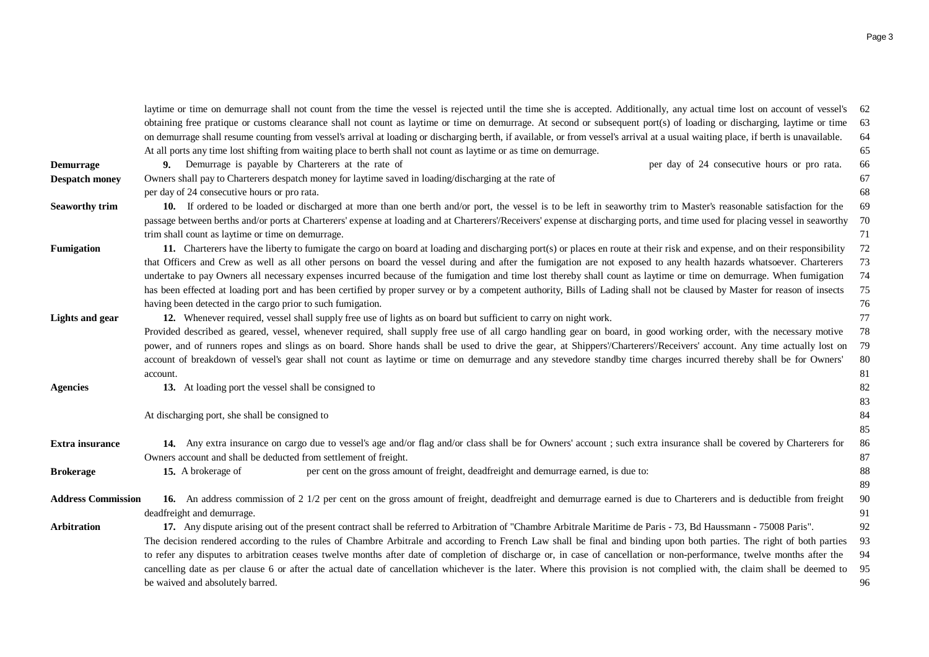|                           | laytime or time on demurrage shall not count from the time the vessel is rejected until the time she is accepted. Additionally, any actual time lost on account of vessel's 62      |                                              |     |
|---------------------------|-------------------------------------------------------------------------------------------------------------------------------------------------------------------------------------|----------------------------------------------|-----|
|                           | obtaining free pratique or customs clearance shall not count as laytime or time on demurrage. At second or subsequent port(s) of loading or discharging, laytime or time            |                                              | -63 |
|                           | on demurrage shall resume counting from vessel's arrival at loading or discharging berth, if available, or from vessel's arrival at a usual waiting place, if berth is unavailable. |                                              | 64  |
|                           | At all ports any time lost shifting from waiting place to berth shall not count as laytime or as time on demurrage.                                                                 |                                              | 65  |
| <b>Demurrage</b>          | 9. Demurrage is payable by Charterers at the rate of                                                                                                                                | per day of 24 consecutive hours or pro rata. | 66  |
| <b>Despatch money</b>     | Owners shall pay to Charterers despatch money for laytime saved in loading/discharging at the rate of                                                                               |                                              | 67  |
|                           | per day of 24 consecutive hours or pro rata.                                                                                                                                        |                                              | 68  |
| <b>Seaworthy trim</b>     | 10. If ordered to be loaded or discharged at more than one berth and/or port, the vessel is to be left in seaworthy trim to Master's reasonable satisfaction for the                |                                              | 69  |
|                           | passage between berths and/or ports at Charterers' expense at loading and at Charterers'/Receivers' expense at discharging ports, and time used for placing vessel in seaworthy     |                                              | 70  |
|                           | trim shall count as laytime or time on demurrage.                                                                                                                                   |                                              | 71  |
| Fumigation                | 11. Charterers have the liberty to fumigate the cargo on board at loading and discharging port(s) or places en route at their risk and expense, and on their responsibility         |                                              | 72  |
|                           | that Officers and Crew as well as all other persons on board the vessel during and after the fumigation are not exposed to any health hazards whatsoever. Charterers                |                                              | 73  |
|                           | undertake to pay Owners all necessary expenses incurred because of the fumigation and time lost thereby shall count as laytime or time on demurrage. When fumigation                |                                              | 74  |
|                           | has been effected at loading port and has been certified by proper survey or by a competent authority, Bills of Lading shall not be claused by Master for reason of insects         |                                              | 75  |
|                           | having been detected in the cargo prior to such fumigation.                                                                                                                         |                                              | 76  |
| <b>Lights and gear</b>    | 12. Whenever required, vessel shall supply free use of lights as on board but sufficient to carry on night work.                                                                    |                                              | 77  |
|                           | Provided described as geared, vessel, whenever required, shall supply free use of all cargo handling gear on board, in good working order, with the necessary motive                |                                              | 78  |
|                           | power, and of runners ropes and slings as on board. Shore hands shall be used to drive the gear, at Shippers'/Charterers'/Receivers' account. Any time actually lost on             |                                              | 79  |
|                           | account of breakdown of vessel's gear shall not count as laytime or time on demurrage and any stevedore standby time charges incurred thereby shall be for Owners'                  |                                              | 80  |
|                           | account.                                                                                                                                                                            |                                              | 81  |
| <b>Agencies</b>           | 13. At loading port the vessel shall be consigned to                                                                                                                                |                                              | 82  |
|                           |                                                                                                                                                                                     |                                              | 83  |
|                           | At discharging port, she shall be consigned to                                                                                                                                      |                                              | 84  |
|                           |                                                                                                                                                                                     |                                              | 85  |
| <b>Extra insurance</b>    | 14. Any extra insurance on cargo due to vessel's age and/or flag and/or class shall be for Owners' account; such extra insurance shall be covered by Charterers for                 |                                              | 86  |
|                           | Owners account and shall be deducted from settlement of freight.                                                                                                                    |                                              | 87  |
| <b>Brokerage</b>          | 15. A brokerage of<br>per cent on the gross amount of freight, deadfreight and demurrage earned, is due to:                                                                         |                                              | 88  |
|                           |                                                                                                                                                                                     |                                              | 89  |
| <b>Address Commission</b> | 16. An address commission of 2 1/2 per cent on the gross amount of freight, deadfreight and demurrage earned is due to Charterers and is deductible from freight                    |                                              | 90  |
|                           | deadfreight and demurrage.                                                                                                                                                          |                                              | 91  |
| Arbitration               | 17. Any dispute arising out of the present contract shall be referred to Arbitration of "Chambre Arbitrale Maritime de Paris - 73, Bd Haussmann - 75008 Paris".                     |                                              | 92  |
|                           | The decision rendered according to the rules of Chambre Arbitrale and according to French Law shall be final and binding upon both parties. The right of both parties               |                                              | 93  |
|                           | to refer any disputes to arbitration ceases twelve months after date of completion of discharge or, in case of cancellation or non-performance, twelve months after the             |                                              | 94  |
|                           | cancelling date as per clause 6 or after the actual date of cancellation whichever is the later. Where this provision is not complied with, the claim shall be deemed to            |                                              | 95  |
|                           | be waived and absolutely barred.                                                                                                                                                    |                                              | 96  |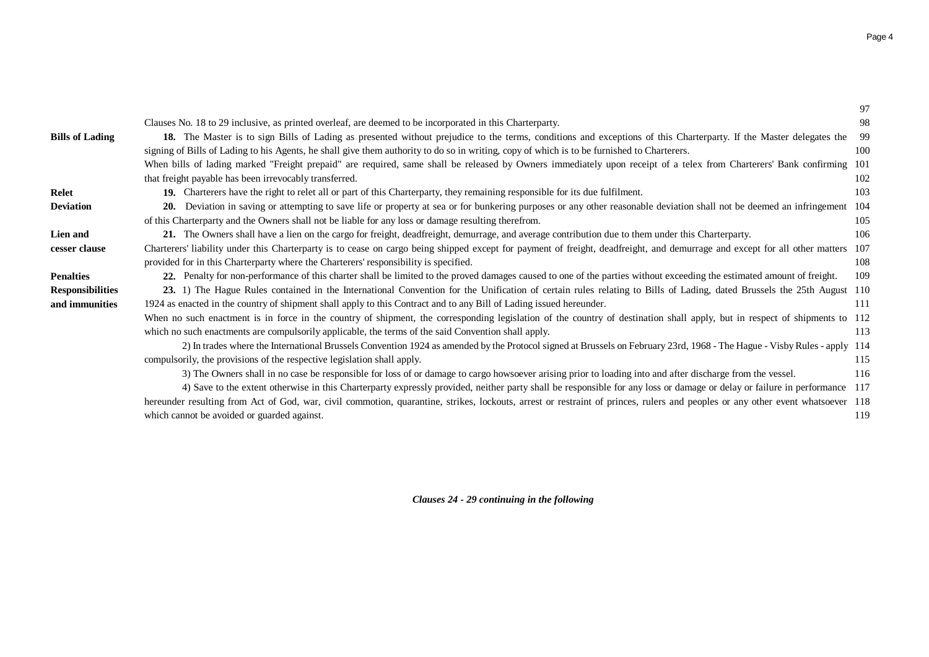|                         |                                                                                                                                                                                                                     | 97   |
|-------------------------|---------------------------------------------------------------------------------------------------------------------------------------------------------------------------------------------------------------------|------|
|                         | Clauses No. 18 to 29 inclusive, as printed overleaf, are deemed to be incorporated in this Charterparty.                                                                                                            | 98   |
| <b>Bills of Lading</b>  | 18. The Master is to sign Bills of Lading as presented without prejudice to the terms, conditions and exceptions of this Charterparty. If the Master delegates the                                                  | -99  |
|                         | signing of Bills of Lading to his Agents, he shall give them authority to do so in writing, copy of which is to be furnished to Charterers.                                                                         | 100  |
|                         | When bills of lading marked "Freight prepaid" are required, same shall be released by Owners immediately upon receipt of a telex from Charterers' Bank confirming                                                   | -101 |
|                         | that freight payable has been irrevocably transferred.                                                                                                                                                              | 102  |
| Relet                   | 19. Charterers have the right to relet all or part of this Charterparty, they remaining responsible for its due fulfilment.                                                                                         | 103  |
| <b>Deviation</b>        | Deviation in saving or attempting to save life or property at sea or for bunkering purposes or any other reasonable deviation shall not be deemed an infringement<br>20.                                            | 104  |
|                         | of this Charterparty and the Owners shall not be liable for any loss or damage resulting therefrom.                                                                                                                 | 105  |
| Lien and                | 21. The Owners shall have a lien on the cargo for freight, deadfreight, demurrage, and average contribution due to them under this Charterparty.                                                                    | 106  |
| cesser clause           | Charterers' liability under this Charterparty is to cease on cargo being shipped except for payment of freight, deadfreight, and demurrage and except for all other matters                                         | 107  |
|                         | provided for in this Charterparty where the Charterers' responsibility is specified.                                                                                                                                | 108  |
| <b>Penalties</b>        | 22. Penalty for non-performance of this charter shall be limited to the proved damages caused to one of the parties without exceeding the estimated amount of freight.                                              | 109  |
| <b>Responsibilities</b> | 23. 1) The Hague Rules contained in the International Convention for the Unification of certain rules relating to Bills of Lading, dated Brussels the 25th August 110                                               |      |
| and immunities          | 1924 as enacted in the country of shipment shall apply to this Contract and to any Bill of Lading issued hereunder.                                                                                                 | 111  |
|                         | When no such enactment is in force in the country of shipment, the corresponding legislation of the country of destination shall apply, but in respect of shipments to 112                                          |      |
|                         | which no such enactments are compulsorily applicable, the terms of the said Convention shall apply.                                                                                                                 | 113  |
|                         | 2) In trades where the International Brussels Convention 1924 as amended by the Protocol signed at Brussels on February 23rd, 1968 - The Hague - Visby Rules - apply 114                                            |      |
|                         | compulsorily, the provisions of the respective legislation shall apply.                                                                                                                                             | 115  |
|                         | 3) The Owners shall in no case be responsible for loss of or damage to cargo howsoever arising prior to loading into and after discharge from the vessel.                                                           | 116  |
|                         | $\Lambda$ $\Lambda$ . The state of the first $\Lambda$ is a set of the set of the state of the first of $\Lambda$ is the state of $\Lambda$ is a state of $\Lambda$ is a state of $\Lambda$ is a state of $\Lambda$ |      |

 4) Save to the extent otherwise in this Charterparty expressly provided, neither party shall be responsible for any loss or damage or delay or failure in performance 117 hereunder resulting from Act of God, war, civil commotion, quarantine, strikes, lockouts, arrest or restraint of princes, rulers and peoples or any other event whatsoever 118 which cannot be avoided or guarded against. 119

*Clauses 24 - 29 continuing in the following*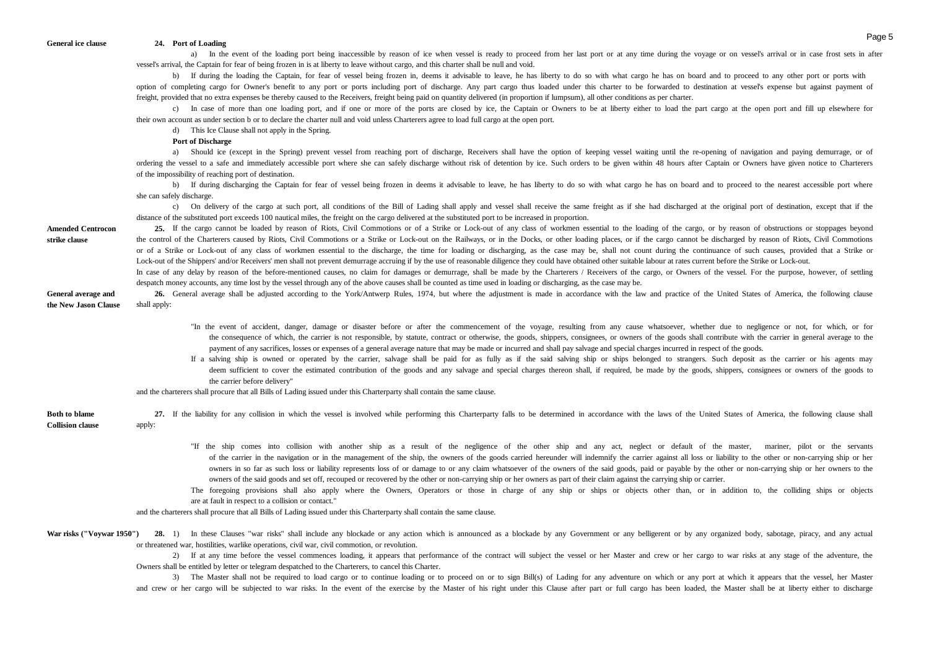a) In the event of the loading port being inaccessible by reason of ice when yessel is ready to proceed from her last port or at any time during the voyage or on vessel's arrival or in case frost sets in after vessel's arrival, the Captain for fear of being frozen in is at liberty to leave without cargo, and this charter shall be null and void.

b) If during the loading the Captain, for fear of vessel being frozen in, deems it advisable to leave, he has liberty to do so with what cargo he has on board and to proceed to any other port or ports with option of completing cargo for Owner's benefit to any port or ports including port of discharge. Any part cargo thus loaded under this charter to be forwarded to destination at vessel's expense but against payment of freight, provided that no extra expenses be thereby caused to the Receivers, freight being paid on quantity delivered (in proportion if lumpsum), all other conditions as per charter.

c) In case of more than one loading port, and if one or more of the ports are closed by ice, the Captain or Owners to be at liberty either to load the part cargo at the open port and fill up elsewhere for their own account as under section b or to declare the charter null and void unless Charterers agree to load full cargo at the open port.

d) This Ice Clause shall not apply in the Spring.

## **Port of Discharge**

a) Should ice (except in the Spring) prevent vessel from reaching port of discharge, Receivers shall have the option of keeping vessel waiting until the re-opening of navigation and paying demurrage, or of ordering the vessel to a safe and immediately accessible port where she can safely discharge without risk of detention by ice. Such orders to be given within 48 hours after Captain or Owners have given notice to Charterers of the impossibility of reaching port of destination.

b) If during discharging the Captain for fear of vessel being frozen in deems it advisable to leave, he has liberty to do so with what cargo he has on board and to proceed to the nearest accessible port where she can safely discharge.

c) On delivery of the cargo at such port, all conditions of the Bill of Lading shall apply and vessel shall receive the same freight as if she had discharged at the original port of destination, except that if the distance of the substituted port exceeds 100 nautical miles, the freight on the cargo delivered at the substituted port to be increased in proportion.

**Amended Centrocon 25.strike clause**

25. If the cargo cannot be loaded by reason of Riots, Civil Commotions or of a Strike or Lock-out of any class of workmen essential to the loading of the cargo, or by reason of obstructions or stoppages beyond the control of the Charterers caused by Riots, Civil Commotions or a Strike or Lock-out on the Railways, or in the Docks, or other loading places, or if the cargo cannot be discharged by reason of Riots, Civil Commotions or of a Strike or Lock-out of any class of workmen essential to the discharge, the time for loading or discharging, as the case may be, shall not count during the continuance of such causes, provided that a Strike or Lock-out of the Shippers' and/or Receivers' men shall not prevent demurrage accruing if by the use of reasonable diligence they could have obtained other suitable labour at rates current before the Strike or Lock-out.

In case of any delay by reason of the before-mentioned causes, no claim for damages or demurrage, shall be made by the Charterers / Receivers of the cargo, or Owners of the vessel. For the purpose, however, of settling despatch money accounts, any time lost by the vessel through any of the above causes shall be counted as time used in loading or discharging, as the case may be.

General average and 26. General average shall be adjusted according to the York/Antwerp Rules, 1974, but where the adjustment is made in accordance with the law and practice of the United States of America, the following c **the New Jason Clause**shall apply:

- "In the event of accident, danger, damage or disaster before or after the commencement of the voyage, resulting from any cause whatsoever, whether due to negligence or not, for which, or for the consequence of which, the carrier is not responsible, by statute, contract or otherwise, the goods, shippers, consignees, or owners of the goods shall contribute with the carrier in general average to the payment of any sacrifices, losses or expenses of a general average nature that may be made or incurred and shall pay salvage and special charges incurred in respect of the goods.
- If a salving ship is owned or operated by the carrier, salvage shall be paid for as fully as if the said salving ship or ships belonged to strangers. Such deposit as the carrier or his agents may deem sufficient to cover the estimated contribution of the goods and any salvage and special charges thereon shall, if required, be made by the goods, shippers, consignees or owners of the goods to the carrier before delivery"

and the charterers shall procure that all Bills of Lading issued under this Charterparty shall contain the same clause.

**Both to blame**27. If the liability for any collision in which the vessel is involved while performing this Charterparty falls to be determined in accordance with the laws of the United States of America, the following clause shall **Collision clause**apply:

> "If the ship comes into collision with another ship as a result of the negligence of the other ship and any act, neglect or default of the master, mariner, pilot or the servants of the carrier in the navigation or in the management of the ship, the owners of the goods carried hereunder will indemnify the carrier against all loss or liability to the other or non-carrying ship or her owners in so far as such loss or liability represents loss of or damage to or any claim whatsoever of the owners of the said goods, paid or payable by the other or non-carrying ship or her owners to the owners of the said goods and set off, recouped or recovered by the other or non-carrying ship or her owners as part of their claim against the carrying ship or carrier.

The foregoing provisions shall also apply where the Owners. Operators or those in charge of any ship or ships or objects other than, or in addition to, the colliding ships or objects are at fault in respect to a collision or contact."

and the charterers shall procure that all Bills of Lading issued under this Charterparty shall contain the same clause.

War risks ("Vovwar 1950") 28. 1) In these Clauses "war risks" shall include any blockade or any action which is announced as a blockade by any Government or any belligerent or by any organized body, sabotage, piracy, and a or threatened war, hostilities, warlike operations, civil war, civil commotion, or revolution.

> 2) If at any time before the vessel commences loading, it appears that performance of the contract will subject the vessel or her Master and crew or her cargo to war risks at any stage of the adventure, the Owners shall be entitled by letter or telegram despatched to the Charterers, to cancel this Charter.

> 3) The Master shall not be required to load cargo or to continue loading or to proceed on or to sign Bill(s) of Lading for any adventure on which or any port at which it appears that the vessel, her Master and crew or her cargo will be subjected to war risks. In the event of the exercise by the Master of his right under this Clause after part or full cargo has been loaded, the Master shall be at liberty either to discharge